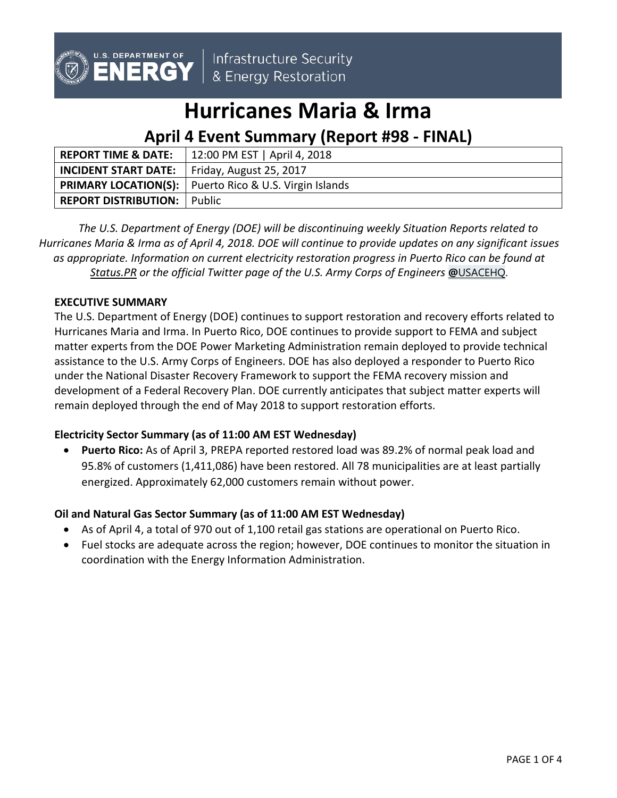

Infrastructure Security & Energy Restoration

# **Hurricanes Maria & Irma**

# **April 4 Event Summary (Report #98 - FINAL)**

| <b>REPORT TIME &amp; DATE:</b>                      | 12:00 PM EST   April 4, 2018                                  |  |
|-----------------------------------------------------|---------------------------------------------------------------|--|
| <b>INCIDENT START DATE:</b> Friday, August 25, 2017 |                                                               |  |
|                                                     | <b>PRIMARY LOCATION(S):</b> Puerto Rico & U.S. Virgin Islands |  |
| <b>REPORT DISTRIBUTION:</b> Public                  |                                                               |  |

*The U.S. Department of Energy (DOE) will be discontinuing weekly Situation Reports related to Hurricanes Maria & Irma as of April 4, 2018. DOE will continue to provide updates on any significant issues as appropriate. Information on current electricity restoration progress in Puerto Rico can be found at [Status.PR](http://status.pr/) or the official Twitter page of the U.S. Army Corps of Engineers* **@**[USACEHQ](https://twitter.com/USACEHQ).

# **EXECUTIVE SUMMARY**

The U.S. Department of Energy (DOE) continues to support restoration and recovery efforts related to Hurricanes Maria and Irma. In Puerto Rico, DOE continues to provide support to FEMA and subject matter experts from the DOE Power Marketing Administration remain deployed to provide technical assistance to the U.S. Army Corps of Engineers. DOE has also deployed a responder to Puerto Rico under the National Disaster Recovery Framework to support the FEMA recovery mission and development of a Federal Recovery Plan. DOE currently anticipates that subject matter experts will remain deployed through the end of May 2018 to support restoration efforts.

## **Electricity Sector Summary (as of 11:00 AM EST Wednesday)**

• **Puerto Rico:** As of April 3, PREPA reported restored load was 89.2% of normal peak load and 95.8% of customers (1,411,086) have been restored. All 78 municipalities are at least partially energized. Approximately 62,000 customers remain without power.

## **Oil and Natural Gas Sector Summary (as of 11:00 AM EST Wednesday)**

- As of April 4, a total of 970 out of 1,100 retail gas stations are operational on Puerto Rico.
- Fuel stocks are adequate across the region; however, DOE continues to monitor the situation in coordination with the Energy Information Administration.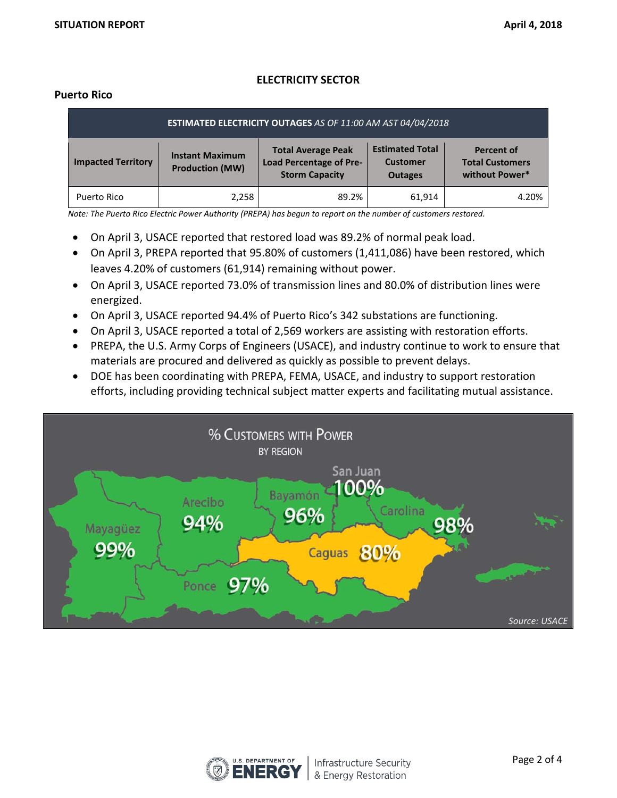# **ELECTRICITY SECTOR**

#### **Puerto Rico**

| ESTIMATED ELECTRICITY OUTAGES AS OF 11:00 AM AST 04/04/2018 |                                                  |                                                                                      |                                                             |                                                               |  |  |  |  |
|-------------------------------------------------------------|--------------------------------------------------|--------------------------------------------------------------------------------------|-------------------------------------------------------------|---------------------------------------------------------------|--|--|--|--|
| <b>Impacted Territory</b>                                   | <b>Instant Maximum</b><br><b>Production (MW)</b> | <b>Total Average Peak</b><br><b>Load Percentage of Pre-</b><br><b>Storm Capacity</b> | <b>Estimated Total</b><br><b>Customer</b><br><b>Outages</b> | <b>Percent of</b><br><b>Total Customers</b><br>without Power* |  |  |  |  |
| Puerto Rico                                                 | 2,258                                            | 89.2%                                                                                | 61.914                                                      | 4.20%                                                         |  |  |  |  |

*Note: The Puerto Rico Electric Power Authority (PREPA) has begun to report on the number of customers restored.* 

- On April 3, USACE reported that restored load was 89.2% of normal peak load.
- On April 3, PREPA reported that 95.80% of customers (1,411,086) have been restored, which leaves 4.20% of customers (61,914) remaining without power.
- On April 3, USACE reported 73.0% of transmission lines and 80.0% of distribution lines were energized.
- On April 3, USACE reported 94.4% of Puerto Rico's 342 substations are functioning.
- On April 3, USACE reported a total of 2,569 workers are assisting with restoration efforts.
- PREPA, the U.S. Army Corps of Engineers (USACE), and industry continue to work to ensure that materials are procured and delivered as quickly as possible to prevent delays.
- DOE has been coordinating with PREPA, FEMA, USACE, and industry to support restoration efforts, including providing technical subject matter experts and facilitating mutual assistance.



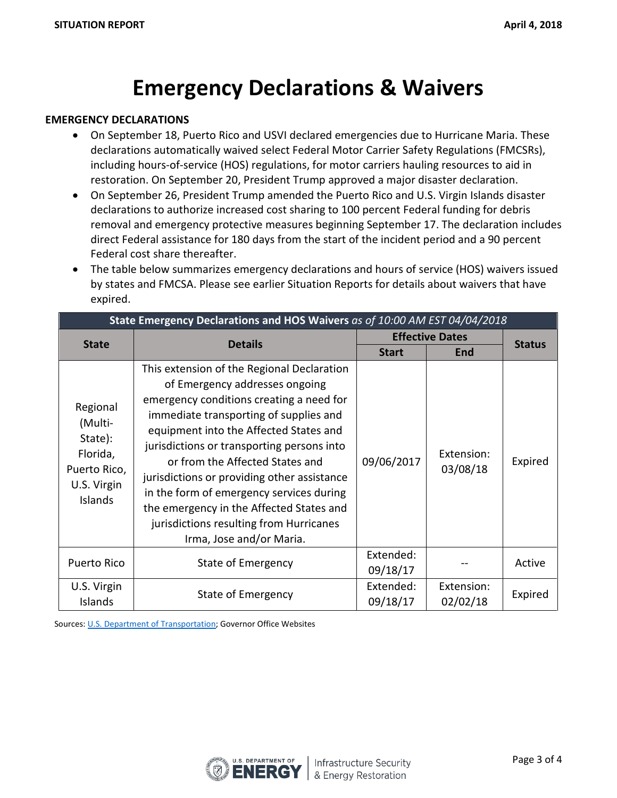# **Emergency Declarations & Waivers**

#### **EMERGENCY DECLARATIONS**

- On September 18, Puerto Rico and USVI declared emergencies due to Hurricane Maria. These declarations automatically waived select Federal Motor Carrier Safety Regulations (FMCSRs), including hours-of-service (HOS) regulations, for motor carriers hauling resources to aid in restoration. On September 20, President Trump approved a major disaster declaration.
- On September 26, President Trump amended the Puerto Rico and U.S. Virgin Islands disaster declarations to authorize increased cost sharing to 100 percent Federal funding for debris removal and emergency protective measures beginning September 17. The declaration includes direct Federal assistance for 180 days from the start of the incident period and a 90 percent Federal cost share thereafter.
- The table below summarizes emergency declarations and hours of service (HOS) waivers issued by states and FMCSA. Please see earlier Situation Reports for details about waivers that have expired.

| State Emergency Declarations and HOS Waivers as of 10:00 AM EST 04/04/2018           |                                                                                                                                                                                                                                                                                                                                                                                                                                                                                                             |                        |                        |               |  |  |  |
|--------------------------------------------------------------------------------------|-------------------------------------------------------------------------------------------------------------------------------------------------------------------------------------------------------------------------------------------------------------------------------------------------------------------------------------------------------------------------------------------------------------------------------------------------------------------------------------------------------------|------------------------|------------------------|---------------|--|--|--|
|                                                                                      | <b>Details</b>                                                                                                                                                                                                                                                                                                                                                                                                                                                                                              | <b>Effective Dates</b> |                        |               |  |  |  |
| <b>State</b>                                                                         |                                                                                                                                                                                                                                                                                                                                                                                                                                                                                                             | <b>Start</b>           | <b>End</b>             | <b>Status</b> |  |  |  |
| Regional<br>(Multi-<br>State):<br>Florida,<br>Puerto Rico,<br>U.S. Virgin<br>Islands | This extension of the Regional Declaration<br>of Emergency addresses ongoing<br>emergency conditions creating a need for<br>immediate transporting of supplies and<br>equipment into the Affected States and<br>jurisdictions or transporting persons into<br>or from the Affected States and<br>jurisdictions or providing other assistance<br>in the form of emergency services during<br>the emergency in the Affected States and<br>jurisdictions resulting from Hurricanes<br>Irma, Jose and/or Maria. | 09/06/2017             | Extension:<br>03/08/18 | Expired       |  |  |  |
| Puerto Rico                                                                          | <b>State of Emergency</b>                                                                                                                                                                                                                                                                                                                                                                                                                                                                                   | Extended:<br>09/18/17  |                        | Active        |  |  |  |
| U.S. Virgin<br>Islands                                                               | State of Emergency                                                                                                                                                                                                                                                                                                                                                                                                                                                                                          | Extended:<br>09/18/17  | Extension:<br>02/02/18 | Expired       |  |  |  |

Sources: [U.S. Department of Transportation;](http://www.fmcsa.dot.gov/emergency) Governor Office Websites